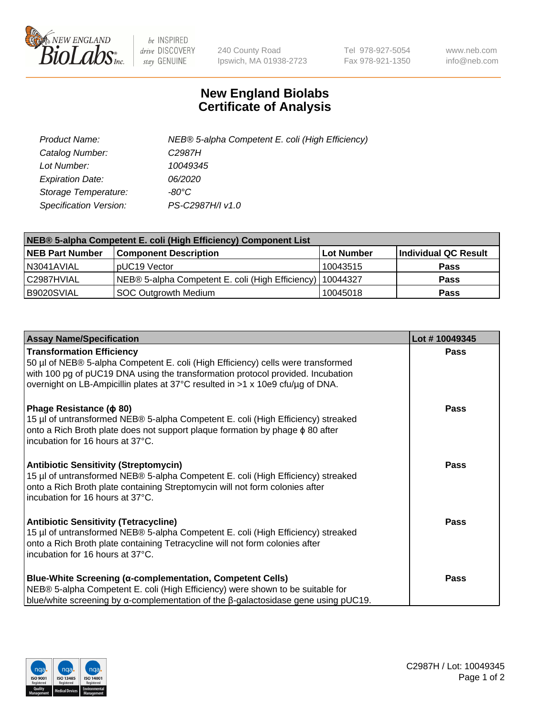

 $be$  INSPIRED drive DISCOVERY stay GENUINE

240 County Road Ipswich, MA 01938-2723 Tel 978-927-5054 Fax 978-921-1350 www.neb.com info@neb.com

## **New England Biolabs Certificate of Analysis**

| Product Name:           | NEB® 5-alpha Competent E. coli (High Efficiency) |
|-------------------------|--------------------------------------------------|
| Catalog Number:         | C <sub>2987</sub> H                              |
| Lot Number:             | 10049345                                         |
| <b>Expiration Date:</b> | <i>06/2020</i>                                   |
| Storage Temperature:    | -80°C                                            |
| Specification Version:  | PS-C2987H/I v1.0                                 |

| NEB® 5-alpha Competent E. coli (High Efficiency) Component List |                                                  |            |                      |  |
|-----------------------------------------------------------------|--------------------------------------------------|------------|----------------------|--|
| <b>NEB Part Number</b>                                          | <b>Component Description</b>                     | Lot Number | Individual QC Result |  |
| N3041AVIAL                                                      | pUC19 Vector                                     | 10043515   | <b>Pass</b>          |  |
| C2987HVIAL                                                      | NEB® 5-alpha Competent E. coli (High Efficiency) | 10044327   | <b>Pass</b>          |  |
| B9020SVIAL                                                      | <b>SOC Outgrowth Medium</b>                      | 10045018   | <b>Pass</b>          |  |

| <b>Assay Name/Specification</b>                                                                                                                                                                                                                                                           | Lot #10049345 |
|-------------------------------------------------------------------------------------------------------------------------------------------------------------------------------------------------------------------------------------------------------------------------------------------|---------------|
| <b>Transformation Efficiency</b><br>50 µl of NEB® 5-alpha Competent E. coli (High Efficiency) cells were transformed<br>with 100 pg of pUC19 DNA using the transformation protocol provided. Incubation<br>overnight on LB-Ampicillin plates at 37°C resulted in >1 x 10e9 cfu/µg of DNA. | <b>Pass</b>   |
| Phage Resistance ( $\phi$ 80)<br>15 µl of untransformed NEB® 5-alpha Competent E. coli (High Efficiency) streaked<br>onto a Rich Broth plate does not support plaque formation by phage $\phi$ 80 after<br>incubation for 16 hours at 37°C.                                               | Pass          |
| <b>Antibiotic Sensitivity (Streptomycin)</b><br>15 µl of untransformed NEB® 5-alpha Competent E. coli (High Efficiency) streaked<br>onto a Rich Broth plate containing Streptomycin will not form colonies after<br>incubation for 16 hours at 37°C.                                      | <b>Pass</b>   |
| <b>Antibiotic Sensitivity (Tetracycline)</b><br>15 µl of untransformed NEB® 5-alpha Competent E. coli (High Efficiency) streaked<br>onto a Rich Broth plate containing Tetracycline will not form colonies after<br>incubation for 16 hours at 37°C.                                      | <b>Pass</b>   |
| Blue-White Screening (α-complementation, Competent Cells)<br>NEB® 5-alpha Competent E. coli (High Efficiency) were shown to be suitable for<br>blue/white screening by $\alpha$ -complementation of the $\beta$ -galactosidase gene using pUC19.                                          | Pass          |